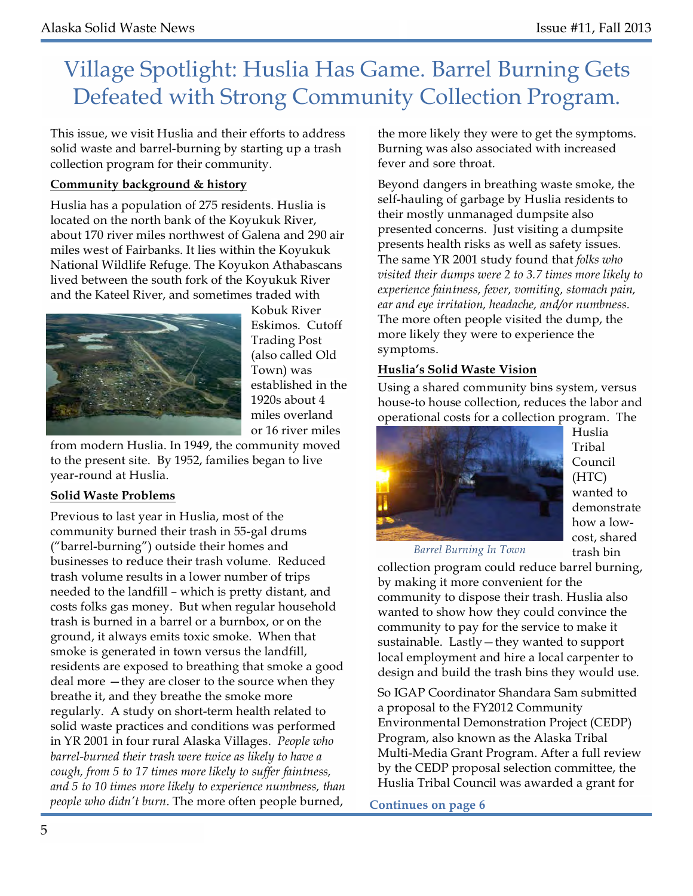# Village Spotlight: Huslia Has Game. Barrel Burning Gets Defeated with Strong Community Collection Program.

This issue, we visit Huslia and their efforts to address solid waste and barrel-burning by starting up a trash collection program for their community.

### **Community background & history**

Huslia has a population of 275 residents. Huslia is located on the north bank of the Koyukuk River, about 170 river miles northwest of Galena and 290 air miles west of Fairbanks. It lies within the Koyukuk National Wildlife Refuge. The Koyukon Athabascans lived between the south fork of the Koyukuk River and the Kateel River, and sometimes traded with



Kobuk River Eskimos. Cutoff Trading Post (also called Old Town) was established in the 1920s about 4 miles overland or 16 river miles

from modern Huslia. In 1949, the community moved to the present site. By 1952, families began to live year-round at Huslia.

### **Solid Waste Problems**

Previous to last year in Huslia, most of the community burned their trash in 55-gal drums ("barrel-burning") outside their homes and businesses to reduce their trash volume. Reduced trash volume results in a lower number of trips needed to the landfill – which is pretty distant, and costs folks gas money. But when regular household trash is burned in a barrel or a burnbox, or on the ground, it always emits toxic smoke. When that smoke is generated in town versus the landfill, residents are exposed to breathing that smoke a good deal more —they are closer to the source when they breathe it, and they breathe the smoke more regularly. A study on short-term health related to solid waste practices and conditions was performed in YR 2001 in four rural Alaska Villages. *People who barrel-burned their trash were twice as likely to have a cough, from 5 to 17 times more likely to suffer faintness, and 5 to 10 times more likely to experience numbness, than people who didn't burn.* The more often people burned,

the more likely they were to get the symptoms. Burning was also associated with increased fever and sore throat.

Beyond dangers in breathing waste smoke, the self-hauling of garbage by Huslia residents to their mostly unmanaged dumpsite also presented concerns. Just visiting a dumpsite presents health risks as well as safety issues. The same YR 2001 study found that *folks who visited their dumps were 2 to 3.7 times more likely to experience faintness, fever, vomiting, stomach pain, ear and eye irritation, headache, and/or numbness.*  The more often people visited the dump, the more likely they were to experience the symptoms.

### **Huslia's Solid Waste Vision**

Using a shared community bins system, versus house-to house collection, reduces the labor and operational costs for a collection program. The



Huslia Tribal Council (HTC) wanted to demonstrate how a lowcost, shared trash bin

*Barrel Burning In Town*

collection program could reduce barrel burning, by making it more convenient for the community to dispose their trash. Huslia also wanted to show how they could convince the community to pay for the service to make it sustainable. Lastly—they wanted to support local employment and hire a local carpenter to design and build the trash bins they would use.

So IGAP Coordinator Shandara Sam submitted a proposal to the FY2012 Community Environmental Demonstration Project (CEDP) Program, also known as the Alaska Tribal Multi-Media Grant Program. After a full review by the CEDP proposal selection committee, the Huslia Tribal Council was awarded a grant for

**Continues on page 6**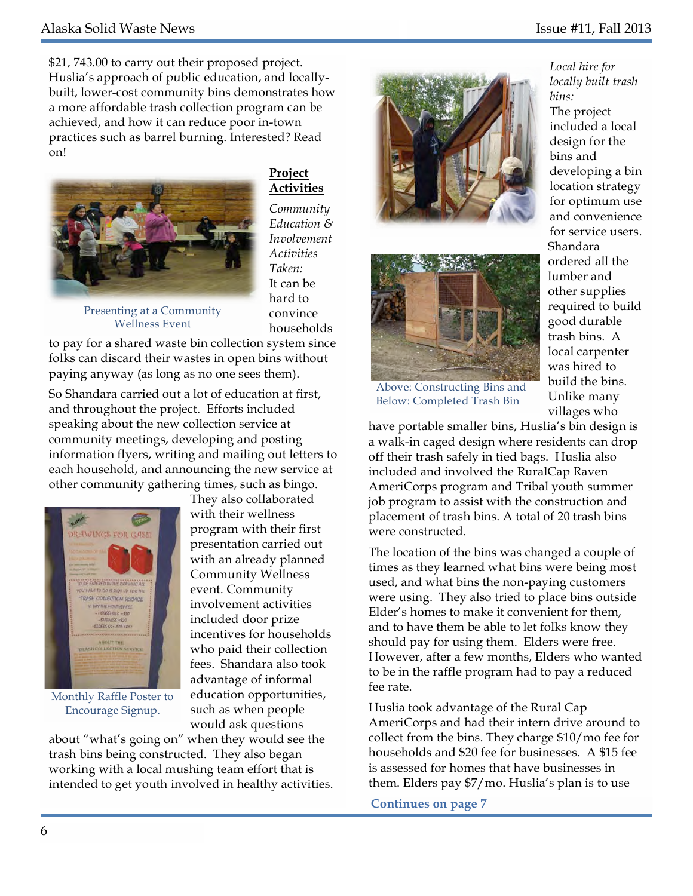\$21, 743.00 to carry out their proposed project. Huslia's approach of public education, and locallybuilt, lower-cost community bins demonstrates how a more affordable trash collection program can be achieved, and how it can reduce poor in-town practices such as barrel burning. Interested? Read on!



**Project Activities** 

*Community Education & Involvement Activities Taken:*  It can be hard to convince households

Presenting at a Community Wellness Event

to pay for a shared waste bin collection system since folks can discard their wastes in open bins without paying anyway (as long as no one sees them).

So Shandara carried out a lot of education at first, and throughout the project. Efforts included speaking about the new collection service at community meetings, developing and posting information flyers, writing and mailing out letters to each household, and announcing the new service at other community gathering times, such as bingo.



Monthly Raffle Poster to Encourage Signup.

They also collaborated with their wellness program with their first presentation carried out with an already planned Community Wellness event. Community involvement activities included door prize incentives for households who paid their collection fees. Shandara also took advantage of informal education opportunities, such as when people would ask questions

about "what's going on" when they would see the trash bins being constructed. They also began working with a local mushing team effort that is intended to get youth involved in healthy activities.





*Local hire for locally built trash bins:*  The project included a local design for the bins and developing a bin location strategy for optimum use and convenience for service users. Shandara ordered all the lumber and other supplies required to build good durable trash bins. A local carpenter was hired to build the bins. Unlike many villages who

Above: Constructing Bins and Below: Completed Trash Bin

have portable smaller bins, Huslia's bin design is a walk-in caged design where residents can drop off their trash safely in tied bags. Huslia also included and involved the RuralCap Raven AmeriCorps program and Tribal youth summer job program to assist with the construction and placement of trash bins. A total of 20 trash bins were constructed.

The location of the bins was changed a couple of times as they learned what bins were being most used, and what bins the non-paying customers were using. They also tried to place bins outside Elder's homes to make it convenient for them, and to have them be able to let folks know they should pay for using them. Elders were free. However, after a few months, Elders who wanted to be in the raffle program had to pay a reduced fee rate.

Huslia took advantage of the Rural Cap AmeriCorps and had their intern drive around to collect from the bins. They charge \$10/mo fee for households and \$20 fee for businesses. A \$15 fee is assessed for homes that have businesses in them. Elders pay \$7/mo. Huslia's plan is to use

**Continues on page 7**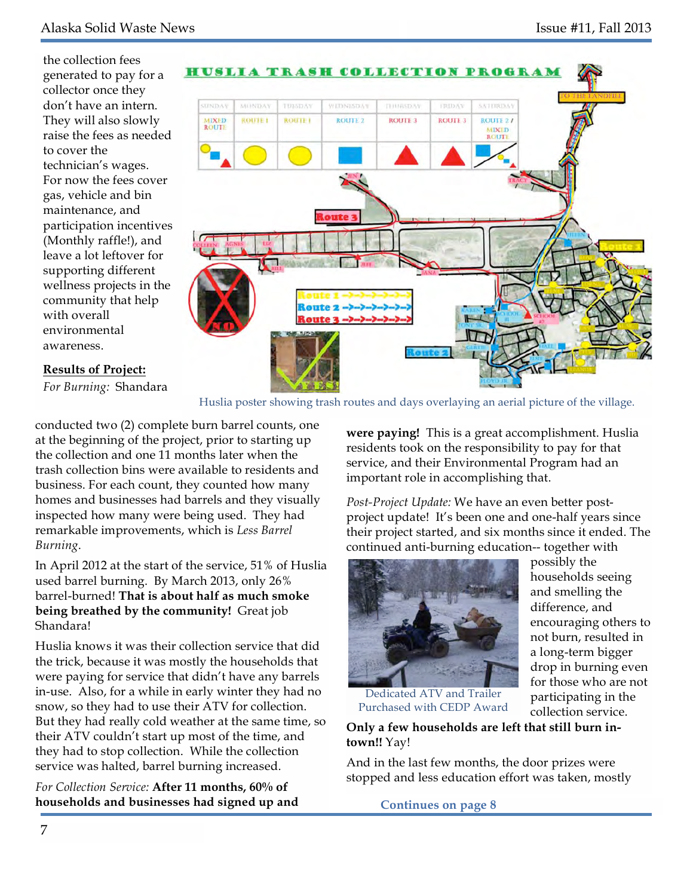the collection fees generated to pay for a collector once they don't have an intern. They will also slowly raise the fees as needed to cover the technician's wages. For now the fees cover gas, vehicle and bin maintenance, and participation incentives (Monthly raffle!), and leave a lot leftover for supporting different wellness projects in the community that help with overall environmental awareness.



#### **Results of Project:**

*For Burning:* Shandara

Huslia poster showing trash routes and days overlaying an aerial picture of the village.

conducted two (2) complete burn barrel counts, one at the beginning of the project, prior to starting up the collection and one 11 months later when the trash collection bins were available to residents and business. For each count, they counted how many homes and businesses had barrels and they visually inspected how many were being used. They had remarkable improvements, which is *Less Barrel Burning*.

In April 2012 at the start of the service, 51% of Huslia used barrel burning. By March 2013, only 26% barrel-burned! **That is about half as much smoke being breathed by the community!** Great job Shandara!

Huslia knows it was their collection service that did the trick, because it was mostly the households that were paying for service that didn't have any barrels in-use. Also, for a while in early winter they had no snow, so they had to use their ATV for collection. But they had really cold weather at the same time, so their ATV couldn't start up most of the time, and they had to stop collection. While the collection service was halted, barrel burning increased.

*For Collection Service:* **After 11 months, 60% of households and businesses had signed up and Continues on page 8** 

**were paying!** This is a great accomplishment. Huslia residents took on the responsibility to pay for that service, and their Environmental Program had an important role in accomplishing that.

*Post-Project Update:* We have an even better postproject update! It's been one and one-half years since their project started, and six months since it ended. The continued anti-burning education-- together with



Dedicated ATV and Trailer Purchased with CEDP Award possibly the households seeing and smelling the difference, and encouraging others to not burn, resulted in a long-term bigger drop in burning even for those who are not participating in the collection service.

**Only a few households are left that still burn intown!!** Yay!

And in the last few months, the door prizes were stopped and less education effort was taken, mostly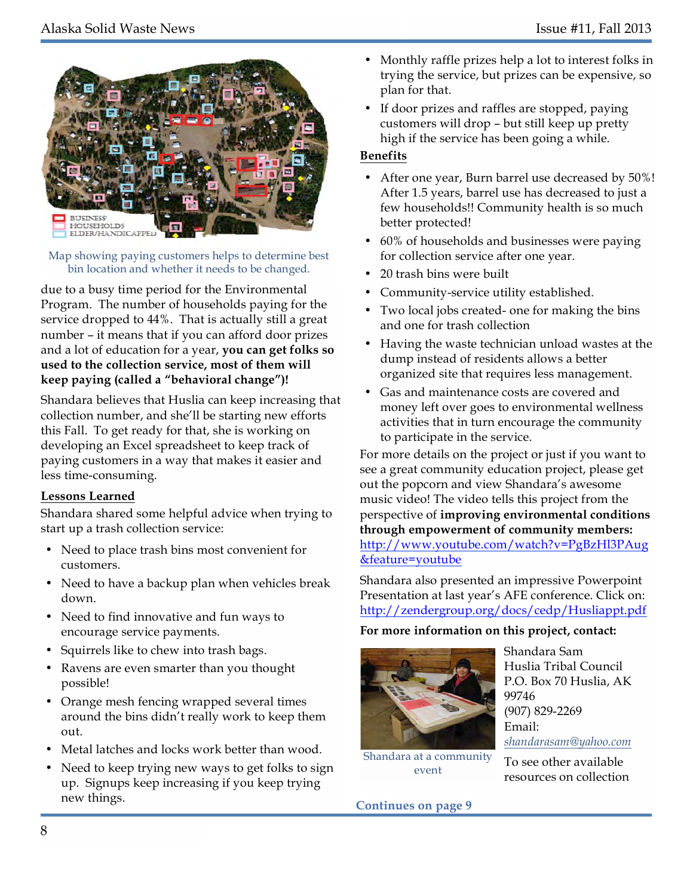

Map showing paying customers helps to determine best bin location and whether it needs to be changed.

due to a busy time period for the Environmental Program. The number of households paying for the service dropped to 44%. That is actually still a great number – it means that if you can afford door prizes and a lot of education for a year, **you can get folks so used to the collection service, most of them will keep paying (called a "behavioral change")!** 

Shandara believes that Huslia can keep increasing that collection number, and she'll be starting new efforts this Fall. To get ready for that, she is working on developing an Excel spreadsheet to keep track of paying customers in a way that makes it easier and less time-consuming.

### **Lessons Learned**

Shandara shared some helpful advice when trying to start up a trash collection service:

- Need to place trash bins most convenient for customers.
- Need to have a backup plan when vehicles break down.
- Need to find innovative and fun ways to encourage service payments.
- Squirrels like to chew into trash bags.
- Ravens are even smarter than you thought possible!
- Orange mesh fencing wrapped several times around the bins didn't really work to keep them  $011<sup>†</sup>$
- Metal latches and locks work better than wood.
- Need to keep trying new ways to get folks to sign up. Signups keep increasing if you keep trying new things.
- Monthly raffle prizes help a lot to interest folks in trying the service, but prizes can be expensive, so plan for that.
- If door prizes and raffles are stopped, paying customers will drop – but still keep up pretty high if the service has been going a while.

### **Benefits**

- After one year, Burn barrel use decreased by 50%! After 1.5 years, barrel use has decreased to just a few households!! Community health is so much better protected!
- 60% of households and businesses were paying for collection service after one year.
- 20 trash bins were built
- Community-service utility established.
- Two local jobs created- one for making the bins and one for trash collection
- Having the waste technician unload wastes at the dump instead of residents allows a better organized site that requires less management.
- Gas and maintenance costs are covered and money left over goes to environmental wellness activities that in turn encourage the community to participate in the service.

For more details on the project or just if you want to see a great community education project, please get out the popcorn and view Shandara's awesome music video! The video tells this project from the perspective of **improving environmental conditions through empowerment of community members:** <http://www.youtube.com/watch?v=PgBzHl3PAug> &feature=youtube

Shandara also presented an impressive Powerpoint Presentation at last year's AFE conference. Click on: http://zendergroup.org/docs/cedp/Husliappt.pdf

### **For more information on this project, contact:**



Huslia Tribal Council P.O. Box 70 Huslia, AK 99746 (907) 829-2269 Email: *shandarasam@yahoo.com*

To see other available resources on collection

Shandara Sam

Shandara at a community event

**Continues on page 9**